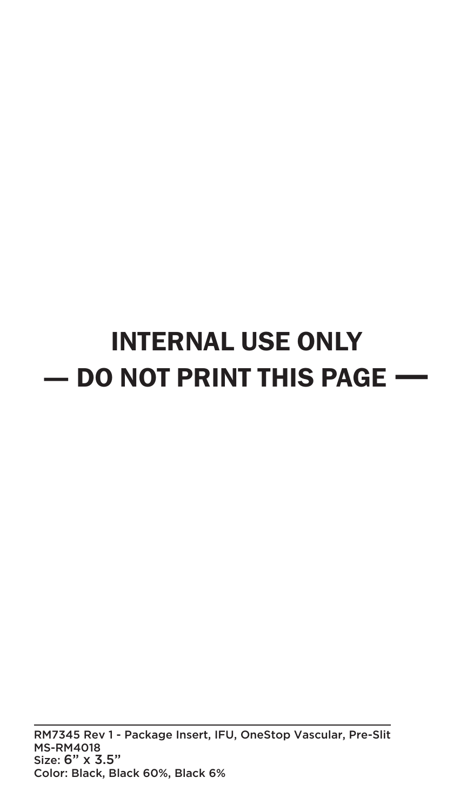## INTERNAL USE ONLY — DO NOT PRINT THIS PAGE —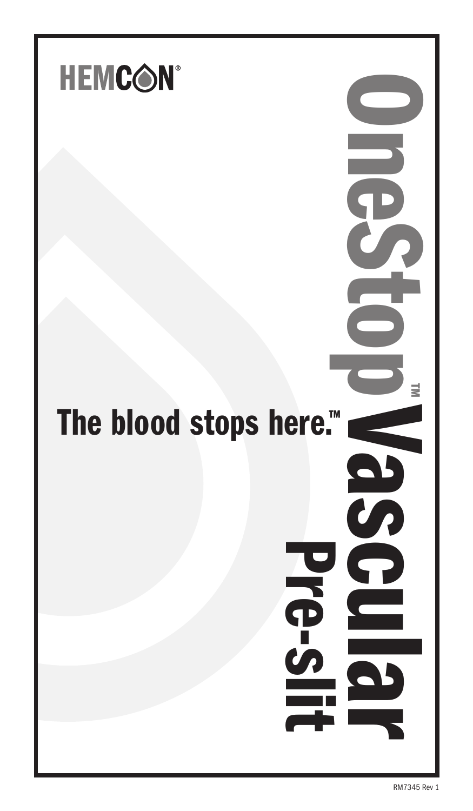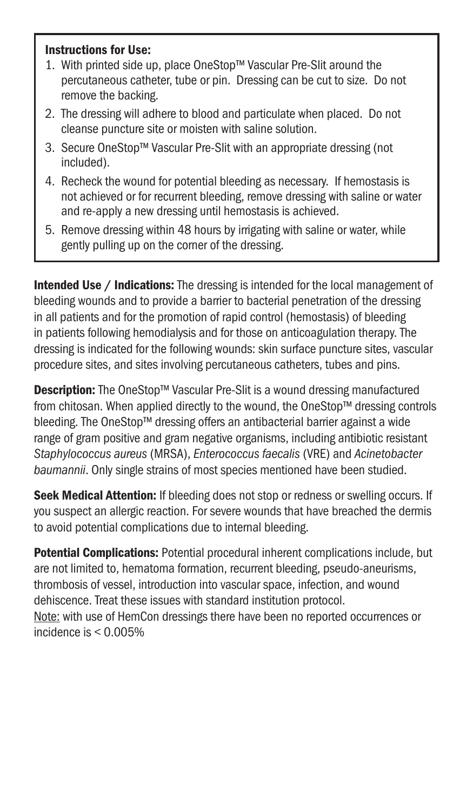## Instructions for Use:

- 1. With printed side up, place OneStop™ Vascular Pre-Slit around the percutaneous catheter, tube or pin. Dressing can be cut to size. Do not remove the backing.
- 2. The dressing will adhere to blood and particulate when placed. Do not cleanse puncture site or moisten with saline solution.
- 3. Secure OneStop™ Vascular Pre-Slit with an appropriate dressing (not included).
- 4. Recheck the wound for potential bleeding as necessary. If hemostasis is not achieved or for recurrent bleeding, remove dressing with saline or water and re-apply a new dressing until hemostasis is achieved.
- 5. Remove dressing within 48 hours by irrigating with saline or water, while gently pulling up on the corner of the dressing.

Intended Use / Indications: The dressing is intended for the local management of bleeding wounds and to provide a barrier to bacterial penetration of the dressing in all patients and for the promotion of rapid control (hemostasis) of bleeding in patients following hemodialysis and for those on anticoagulation therapy. The dressing is indicated for the following wounds: skin surface puncture sites, vascular procedure sites, and sites involving percutaneous catheters, tubes and pins.

**Description:** The OneStop™ Vascular Pre-Slit is a wound dressing manufactured from chitosan. When applied directly to the wound, the OneStop™ dressing controls bleeding. The OneStop™ dressing offers an antibacterial barrier against a wide range of gram positive and gram negative organisms, including antibiotic resistant *Staphylococcus aureus* (MRSA), *Enterococcus faecalis* (VRE) and *Acinetobacter baumannii*. Only single strains of most species mentioned have been studied.

Seek Medical Attention: If bleeding does not stop or redness or swelling occurs. If you suspect an allergic reaction. For severe wounds that have breached the dermis to avoid potential complications due to internal bleeding.

**Potential Complications:** Potential procedural inherent complications include, but are not limited to, hematoma formation, recurrent bleeding, pseudo-aneurisms, thrombosis of vessel, introduction into vascular space, infection, and wound dehiscence. Treat these issues with standard institution protocol. Note: with use of HemCon dressings there have been no reported occurrences or incidence is < 0.005%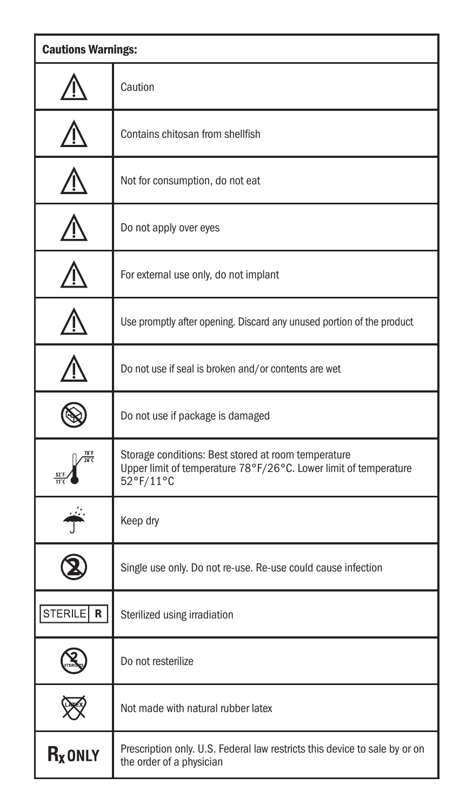| <b>Cautions Warnings:</b>  |                                                                                                                                      |
|----------------------------|--------------------------------------------------------------------------------------------------------------------------------------|
|                            | Caution                                                                                                                              |
|                            | Contains chitosan from shellfish                                                                                                     |
|                            | Not for consumption, do not eat                                                                                                      |
|                            | Do not apply over eyes                                                                                                               |
|                            | For external use only, do not implant                                                                                                |
|                            | Use promptly after opening. Discard any unused portion of the product                                                                |
|                            | Do not use if seal is broken and/or contents are wet                                                                                 |
|                            | Do not use if package is damaged                                                                                                     |
| $\frac{78}{26}$ F          | Storage conditions: Best stored at room temperature<br>Upper limit of temperature 78°F/26°C. Lower limit of temperature<br>52°F/11°C |
|                            | Keep dry                                                                                                                             |
|                            | Single use only. Do not re-use. Re-use could cause infection                                                                         |
| STERILE<br>R               | Sterilized using irradiation                                                                                                         |
|                            | Do not resterilize                                                                                                                   |
|                            | Not made with natural rubber latex                                                                                                   |
| <b>R</b> <sub>x</sub> ONLY | Prescription only. U.S. Federal law restricts this device to sale by or on<br>the order of a physician                               |